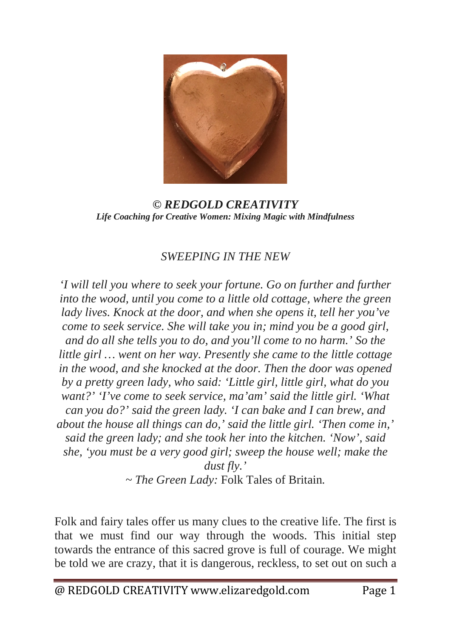

*© REDGOLD CREATIVITY Life Coaching for Creative Women: Mixing Magic with Mindfulness*

## *SWEEPING IN THE NEW*

*'I will tell you where to seek your fortune. Go on further and further into the wood, until you come to a little old cottage, where the green lady lives. Knock at the door, and when she opens it, tell her you've come to seek service. She will take you in; mind you be a good girl, and do all she tells you to do, and you'll come to no harm.' So the little girl … went on her way. Presently she came to the little cottage in the wood, and she knocked at the door. Then the door was opened by a pretty green lady, who said: 'Little girl, little girl, what do you want?' 'I've come to seek service, ma'am' said the little girl. 'What can you do?' said the green lady. 'I can bake and I can brew, and about the house all things can do,' said the little girl. 'Then come in,' said the green lady; and she took her into the kitchen. 'Now', said she, 'you must be a very good girl; sweep the house well; make the dust fly.'*

*~ The Green Lady:* Folk Tales of Britain*.*

Folk and fairy tales offer us many clues to the creative life. The first is that we must find our way through the woods. This initial step towards the entrance of this sacred grove is full of courage. We might be told we are crazy, that it is dangerous, reckless, to set out on such a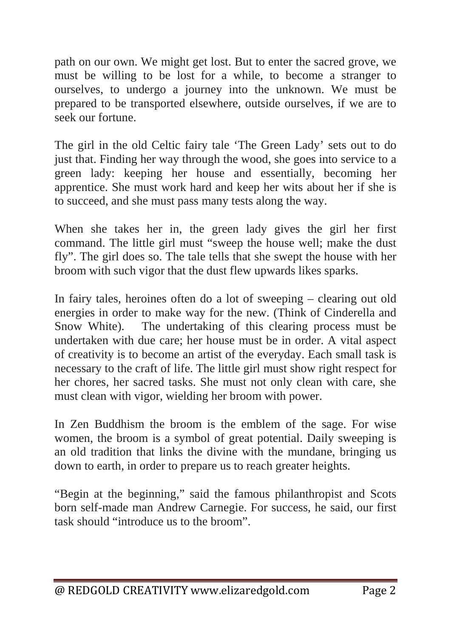path on our own. We might get lost. But to enter the sacred grove, we must be willing to be lost for a while, to become a stranger to ourselves, to undergo a journey into the unknown. We must be prepared to be transported elsewhere, outside ourselves, if we are to seek our fortune.

The girl in the old Celtic fairy tale 'The Green Lady' sets out to do just that. Finding her way through the wood, she goes into service to a green lady: keeping her house and essentially, becoming her apprentice. She must work hard and keep her wits about her if she is to succeed, and she must pass many tests along the way.

When she takes her in, the green lady gives the girl her first command. The little girl must "sweep the house well; make the dust fly". The girl does so. The tale tells that she swept the house with her broom with such vigor that the dust flew upwards likes sparks.

In fairy tales, heroines often do a lot of sweeping – clearing out old energies in order to make way for the new. (Think of Cinderella and Snow White). The undertaking of this clearing process must be undertaken with due care; her house must be in order. A vital aspect of creativity is to become an artist of the everyday. Each small task is necessary to the craft of life. The little girl must show right respect for her chores, her sacred tasks. She must not only clean with care, she must clean with vigor, wielding her broom with power.

In Zen Buddhism the broom is the emblem of the sage. For wise women, the broom is a symbol of great potential. Daily sweeping is an old tradition that links the divine with the mundane, bringing us down to earth, in order to prepare us to reach greater heights.

"Begin at the beginning," said the famous philanthropist and Scots born self-made man Andrew Carnegie. For success, he said, our first task should "introduce us to the broom".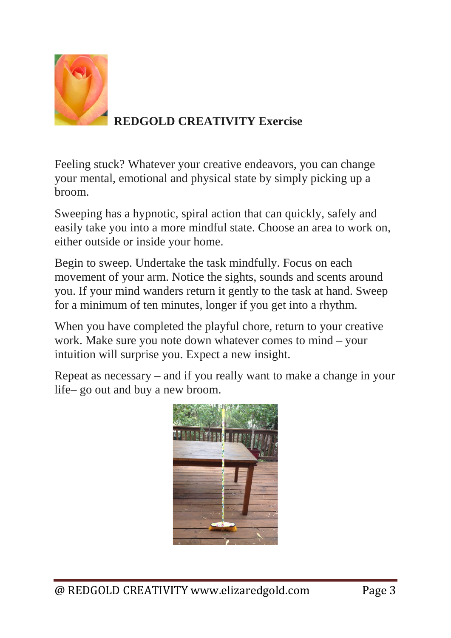

## **REDGOLD CREATIVITY Exercise**

Feeling stuck? Whatever your creative endeavors, you can change your mental, emotional and physical state by simply picking up a broom.

Sweeping has a hypnotic, spiral action that can quickly, safely and easily take you into a more mindful state. Choose an area to work on, either outside or inside your home.

Begin to sweep. Undertake the task mindfully. Focus on each movement of your arm. Notice the sights, sounds and scents around you. If your mind wanders return it gently to the task at hand. Sweep for a minimum of ten minutes, longer if you get into a rhythm.

When you have completed the playful chore, return to your creative work. Make sure you note down whatever comes to mind – your intuition will surprise you. Expect a new insight.

Repeat as necessary – and if you really want to make a change in your life– go out and buy a new broom.

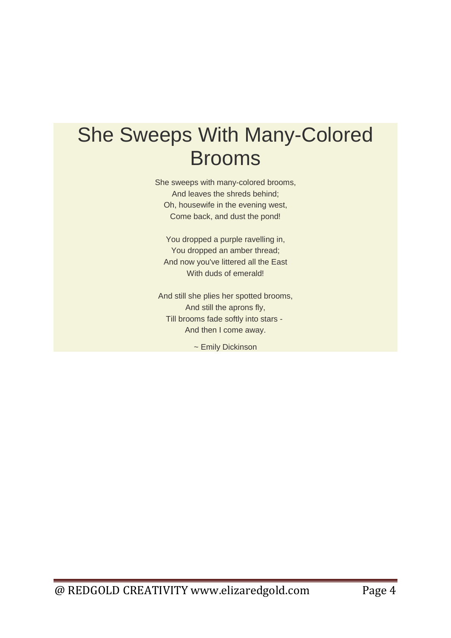## She Sweeps With Many-Colored Brooms

She sweeps with many-colored brooms, And leaves the shreds behind; Oh, housewife in the evening west, Come back, and dust the pond!

You dropped a purple ravelling in, You dropped an amber thread; And now you've littered all the East With duds of emerald!

And still she plies her spotted brooms, And still the aprons fly, Till brooms fade softly into stars - And then I come away.

~ Emily Dickinson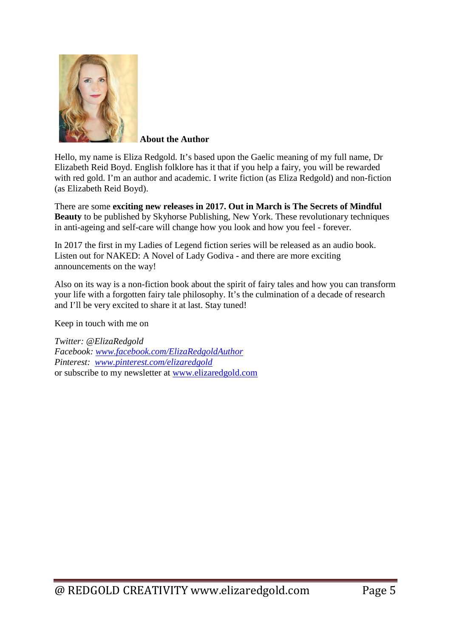

 **About the Author**

Hello, my name is Eliza Redgold. It's based upon the Gaelic meaning of my full name, Dr Elizabeth Reid Boyd. English folklore has it that if you help a fairy, you will be rewarded with red gold. I'm an author and academic. I write fiction (as Eliza Redgold) and non-fiction (as Elizabeth Reid Boyd).

There are some **exciting new releases in 2017. Out in March is [The Secrets of Mindful](http://skyhorsepublishing.com/titles/12157-9781510717695-secrets-of-mindful-beauty)  [Beauty](http://skyhorsepublishing.com/titles/12157-9781510717695-secrets-of-mindful-beauty)** to be published by Skyhorse Publishing, New York. These revolutionary techniques in anti-ageing and self-care will change how you look and how you feel - forever.

In 2017 the first in my Ladies of Legend fiction series will be released as an audio book. Listen out for NAKED: A Novel of Lady Godiva - and there are more exciting announcements on the way!

Also on its way is a non-fiction book about the spirit of fairy tales and how you can transform your life with a forgotten fairy tale philosophy. It's the culmination of a decade of research and I'll be very excited to share it at last. Stay tuned!

Keep in touch with me on

*Twitter: @ElizaRedgold Facebook: [www.facebook.com/ElizaRedgoldAuthor](http://www.facebook.com/ElizaRedgoldAuthor) Pinterest: [www.pinterest.com/elizaredgold](http://www.pinterest.com/elizaredgold)* or subscribe to my newsletter at [www.elizaredgold.com](http://www.elizaredgold.com/)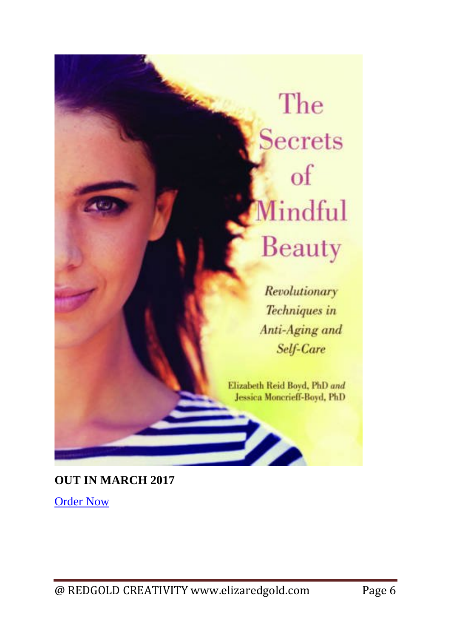## The Secrets of Mindful Beauty

Revolutionary Techniques in Anti-Aging and Self-Care

Elizabeth Reid Boyd, PhD and Jessica Moncrieff-Boyd, PhD

**Pro** 

**OUT IN MARCH 2017**

[Order Now](https://www.amazon.com/Secrets-Mindful-Beauty-Revolutionary-Techniques/dp/1510717692)